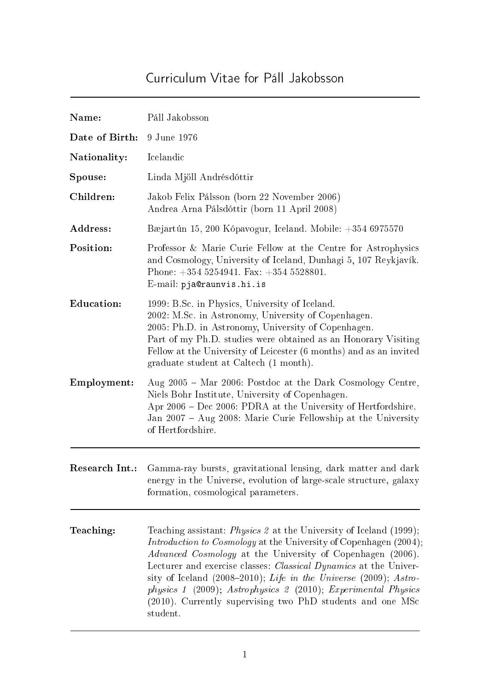## Curriculum Vitae for Páll Jakobsson

| Name:             | Páll Jakobsson                                                                                                                                                                                                                                                                                                                                                                                                                                                                                                       |
|-------------------|----------------------------------------------------------------------------------------------------------------------------------------------------------------------------------------------------------------------------------------------------------------------------------------------------------------------------------------------------------------------------------------------------------------------------------------------------------------------------------------------------------------------|
| Date of Birth:    | 9 June 1976                                                                                                                                                                                                                                                                                                                                                                                                                                                                                                          |
| Nationality:      | Icelandic                                                                                                                                                                                                                                                                                                                                                                                                                                                                                                            |
| Spouse:           | Linda Mjöll Andrésdóttir                                                                                                                                                                                                                                                                                                                                                                                                                                                                                             |
| Children:         | Jakob Felix Pálsson (born 22 November 2006)<br>Andrea Arna Pálsdóttir (born 11 April 2008)                                                                                                                                                                                                                                                                                                                                                                                                                           |
| Address:          | Bæjartún 15, 200 Kópavogur, Iceland. Mobile: +354 6975570                                                                                                                                                                                                                                                                                                                                                                                                                                                            |
| Position:         | Professor & Marie Curie Fellow at the Centre for Astrophysics<br>and Cosmology, University of Iceland, Dunhagi 5, 107 Reykjavík.<br>Phone: $+354$ 5254941. Fax: $+354$ 5528801.<br>E-mail: pja@raunvis.hi.is                                                                                                                                                                                                                                                                                                         |
| <b>Education:</b> | 1999: B.Sc. in Physics, University of Iceland.<br>2002: M.Sc. in Astronomy, University of Copenhagen.<br>2005: Ph.D. in Astronomy, University of Copenhagen.<br>Part of my Ph.D. studies were obtained as an Honorary Visiting<br>Fellow at the University of Leicester (6 months) and as an invited<br>graduate student at Caltech (1 month).                                                                                                                                                                       |
| Employment:       | Aug 2005 - Mar 2006: Postdoc at the Dark Cosmology Centre,<br>Niels Bohr Institute, University of Copenhagen.<br>Apr 2006 – Dec 2006: PDRA at the University of Hertfordshire.<br>Jan 2007 – Aug 2008: Marie Curie Fellowship at the University<br>of Hertfordshire.                                                                                                                                                                                                                                                 |
| Research Int.:    | Gamma-ray bursts, gravitational lensing, dark matter and dark<br>energy in the Universe, evolution of large-scale structure, galaxy<br>formation, cosmological parameters.                                                                                                                                                                                                                                                                                                                                           |
| Teaching:         | Teaching assistant: <i>Physics 2</i> at the University of Iceland (1999);<br><i>Introduction to Cosmology</i> at the University of Copenhagen (2004);<br><i>Advanced Cosmology</i> at the University of Copenhagen (2006).<br>Lecturer and exercise classes: <i>Classical Dynamics</i> at the Univer-<br>sity of Iceland (2008–2010); Life in the Universe (2009); Astro-<br>physics 1 (2009); Astrophysics 2 (2010); Experimental Physics<br>(2010). Currently supervising two PhD students and one MSc<br>student. |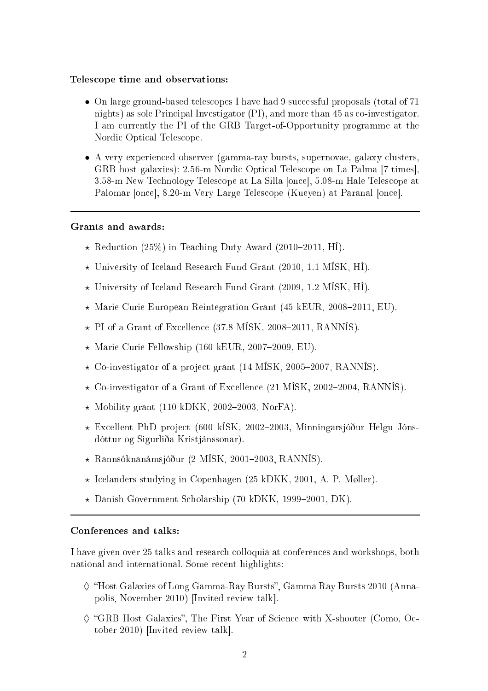## Teles
ope time and observations:

- On large ground-based telescopes I have had 9 successful proposals (total of 71) nights) as sole Principal Investigator (PI), and more than 45 as co-investigator. I am urrently the PI of the GRB Target-of-Opportunity programme at the Nordi Opti
al Teles
ope.
- A very experien
ed observer (gamma-ray bursts, supernovae, galaxy lusters, GRB host galaxies): 2.56-m Nordic Optical Telescope on La Palma [7 times], 3.58-m New Technology Telescope at La Silla [once], 5.08-m Hale Telescope at Palomar [once], 8.20-m Very Large Telescope (Kueyen) at Paranal [once].

## Grants and awards:

- $\star$  Reduction (25%) in Teaching Duty Award (2010–2011, H1).
- $\star$  University of Iceland Research Fund Grant (2010, 1.1 MISK, HI).
- ⋆ University of I
eland Resear
h Fund Grant (2009, 1.2 MÍSK, HÍ).
- $\star$  Marie Curie European Reintegration Grant (45 kEUR, 2008–2011, EU).
- $\star$  PI of a Grant of Excellence (37.8 MÍSK, 2008–2011, RANNÍS).
- $\star$  Marie Curie Fellowship (160 kEUR, 2007-2009, EU).
- $\star$  Co-investigator of a project grant (14 MISK, 2005–2007, RANNIS).
- $\star$  Co-investigator of a Grant of Excellence (21 MISK, 2002–2004, RANNIS).
- $\star$  Mobility grant (110 kDKK, 2002–2003, NorFA).
- $\star$  Excellent PhD project (600 kÍSK, 2002–2003, Minningarsjóður Helgu Jónsdóttur og Sigurliða Kristjánssonar).
- $\star$  Rannsóknanámsjóður (2 MÍSK, 2001–2003, RANNÍS).
- ⋆ I
elanders studying in Copenhagen (25 kDKK, 2001, A. P. Møller).
- $\star$  Danish Government Scholarship (70 kDKK, 1999–2001, DK).

## Conferen
es and talks:

I have given over 25 talks and resear
h olloquia at onferen
es and workshops, both national and international. Some recent highlights:

- $\diamond$  "Host Galaxies of Long Gamma-Ray Bursts", Gamma Ray Bursts 2010 (Annapolis, November 2010) [Invited review talk].
- $\Diamond$  "GRB Host Galaxies", The First Year of Science with X-shooter (Como, October 2010) [Invited review talk].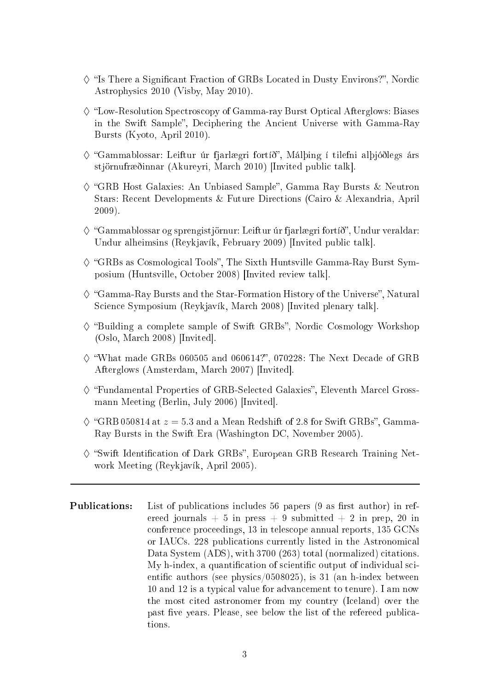- $\diamond$  "Is There a Significant Fraction of GRBs Located in Dusty Environs?", Nordic Astrophysi
s 2010 (Visby, May 2010).
- $\Diamond$  "Low-Resolution Spectroscopy of Gamma-ray Burst Optical Afterglows: Biases in the Swift Sample", Deciphering the Ancient Universe with Gamma-Ray Bursts (Kyoto, April 2010).
- $\diamond$  "Gammablossar: Leiftur úr fjarlægri fortíð", Málþing í tilefni alþjóðlegs árs stjörnufræðinnar (Akureyri, March 2010) [Invited public talk].
- $\diamond$  "GRB Host Galaxies: An Unbiased Sample", Gamma Ray Bursts & Neutron Stars: Re
ent Developments & Future Dire
tions (Cairo & Alexandria, April 2009).
- $\diamond$  "Gammablossar og sprengistjörnur: Leiftur úr fjarlægri fortíð", Undur veraldar: Undur alheimsins (Reykjavík, February 2009) [Invited public talk].
- $\diamond$  "GRBs as Cosmological Tools", The Sixth Huntsville Gamma-Ray Burst Symposium (Huntsville, October 2008) [Invited review talk].
- $\diamond$  "Gamma-Ray Bursts and the Star-Formation History of the Universe". Natural Science Symposium (Reykjavík, March 2008) [Invited plenary talk].
- $\Diamond$  "Building a complete sample of Swift GRBs", Nordic Cosmology Workshop  $(Oslo, March 2008)$  [Invited].
- $\diamond$  "What made GRBs 060505 and 060614?", 070228: The Next Decade of GRB Afterglows (Amsterdam, March 2007) [Invited].
- $\diamond$  "Fundamental Properties of GRB-Selected Galaxies", Eleventh Marcel Grossmann Meeting (Berlin, July 2006) [Invited].
- $\diamond$  "GRB 050814 at  $z = 5.3$  and a Mean Redshift of 2.8 for Swift GRBs", Gamma-Ray Bursts in the Swift Era (Washington DC, November 2005).
- $\diamond$  "Swift Identification of Dark GRBs", European GRB Research Training Network Meeting (Reykjavík, April 2005).
- **Publications:** List of publications includes 56 papers (9 as first author) in refereed journals  $+5$  in press  $+9$  submitted  $+2$  in prep. 20 in onferen
e pro
eedings, 13 in teles
ope annual reports, 135 GCNs or IAUCs. 228 publications currently listed in the Astronomical Data System (ADS), with 3700 (263) total (normalized) citations. My h-index, a quantification of scientific output of individual scientific authors (see physics/0508025), is 31 (an h-index between 10 and 12 is a typi
al value for advan
ement to tenure). I am now the most cited astronomer from my country (Iceland) over the past five years. Please, see below the list of the refereed publications.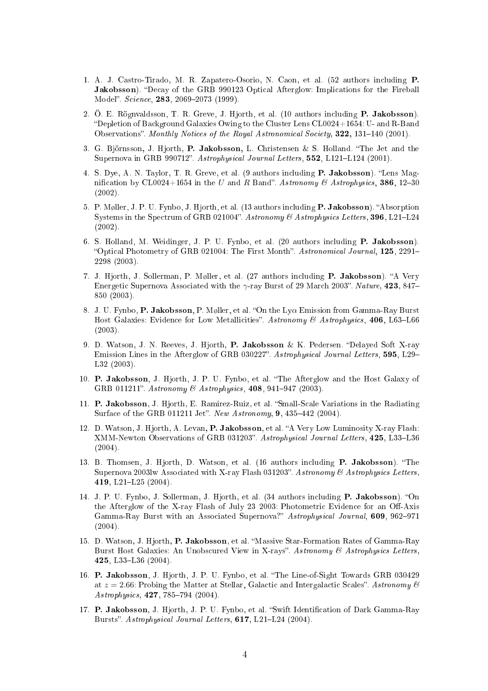- 1. A. J. Castro-Tirado, M. R. Zapatero-Osorio, N. Caon, et al. (52 authors in
luding P. **Jakobsson**). "Decay of the GRB 990123 Optical Afterglow: Implications for the Fireball Model". Science, 283, 2069-2073 (1999).
- 2. Ö. E. Rögnvaldsson, T. R. Greve, J. Hjorth, et al. (10 authors in
luding P. Jakobsson). Depletion of Ba
kground Galaxies Owing to the Cluster Lens CL0024+1654: U- and R-Band Observations". Monthly Notices of the Royal Astronomical Society, 322, 131-140 (2001).
- 3. G. Björnsson, J. Hjorth, P. Jakobsson, L. Christensen & S. Holland. "The Jet and the Supernova in GRB 990712". Astrophysical Journal Letters, 552, L121-L124 (2001).
- 4. S. Dye, A. N. Taylor, T. R. Greve, et al. (9 authors including **P. Jakobsson**). "Lens Magnification by CL0024+1654 in the U and R Band". Astronomy & Astrophysics, 386, 12-30 (2002).
- 5. P. Møller, J. P. U. Fynbo, J. Hjorth, et al. (13 authors including **P. Jakobsson**). "Absorption Systems in the Spectrum of GRB 021004". Astronomy & Astrophysics Letters, 396, L21-L24 (2002).
- 6. S. Holland, M. Weidinger, J. P. U. Fynbo, et al. (20 authors in
luding P. Jakobsson). "Optical Photometry of GRB 021004: The First Month". Astronomical Journal, 125, 2291-2298 (2003).
- 7. J. Hjorth, J. Sollerman, P. Møller, et al. (27 authors including **P. Jakobsson**). "A Very Energetic Supernova Associated with the  $\gamma$ -ray Burst of 29 March 2003". Nature, 423, 847– 850 (2003).
- 8. J. U. Fynbo, P. Jakobsson, P. Møller, et al. "On the Ly $\alpha$  Emission from Gamma-Ray Burst Host Galaxies: Evidence for Low Metallicities". Astronomy & Astrophysics, 406, L63-L66 (2003).
- 9. D. Watson, J. N. Reeves, J. Hjorth, P. Jakobsson & K. Pedersen. "Delayed Soft X-ray Emission Lines in the Afterglow of GRB 030227. Astrophysi
al Journal Letters, 595, L29 L32 (2003).
- 10. P. Jakobsson, J. Hjorth, J. P. U. Fynbo, et al. The Afterglow and the Host Galaxy of GRB 011211". Astronomy  $\mathcal B$  Astrophysics, 408, 941-947 (2003).
- 11. P. Jakobsson, J. Hiorth, E. Ramirez-Ruiz, et al. "Small-Scale Variations in the Radiating Surface of the GRB 011211 Jet". New Astronomy, 9, 435-442 (2004).
- 12. D. Watson, J. Hjorth, A. Levan, P. Jakobsson, et al. "A Very Low Luminosity X-ray Flash: XMM-Newton Observations of GRB 031203". Astrophysical Journal Letters, 425, L33-L36 (2004).
- 13. B. Thomsen, J. Hjorth, D. Watson, et al. (16 authors including P. Jakobsson). "The Supernova 2003lw Associated with X-ray Flash 031203". Astronomy & Astrophysics Letters, 419, L21-L25 (2004).
- 14. J. P. U. Fynbo, J. Sollerman, J. Hjorth, et al. (34 authors including **P. Jakobsson**). "On the Afterglow of the X-ray Flash of July 23 2003: Photometric Evidence for an Off-Axis Gamma-Ray Burst with an Associated Supernova?" Astrophysical Journal, 609, 962-971 (2004).
- 15. D. Watson, J. Hjorth, P. Jakobsson, et al. "Massive Star-Formation Rates of Gamma-Ray Burst Host Galaxies: An Unobscured View in X-rays". Astronomy & Astrophysics Letters, 425, L33-L36 (2004).
- 16. P. Jakobsson, J. Hjorth, J. P. U. Fynbo, et al. The Line-of-Sight Towards GRB 030429 at  $z = 2.66$ : Probing the Matter at Stellar, Galactic and Intergalactic Scales". Astronomy  $\ell$ Astrophysics, 427, 785-794 (2004).
- 17. P. Jakobsson, J. Hjorth, J. P. U. Fynbo, et al. "Swift Identification of Dark Gamma-Ray Bursts". Astrophysical Journal Letters, 617, L21-L24 (2004).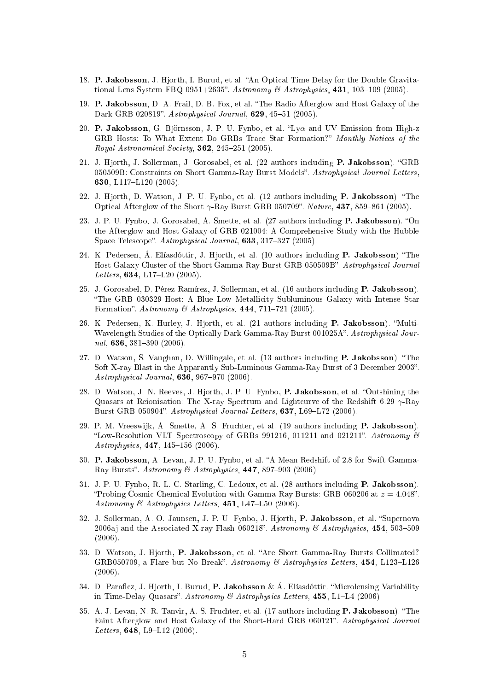- 18. P. Jakobsson, J. Hjorth, I. Burud, et al. "An Optical Time Delay for the Double Gravitational Lens System FBQ 0951+2635". Astronomy & Astrophysics, 431, 103-109 (2005).
- 19. P. Jakobsson, D. A. Frail, D. B. Fox, et al. The Radio Afterglow and Host Galaxy of the Dark GRB 020819". Astrophysical Journal, 629, 45-51 (2005).
- 20. P. Jakobsson, G. Björnsson, J. P. U. Fynbo, et al. "Ly $\alpha$  and UV Emission from High-z GRB Hosts: To What Extent Do GRBs Trace Star Formation?" Monthly Notices of the Royal Astronomical Society, 362, 245-251 (2005).
- 21. J. Hjorth, J. Sollerman, J. Gorosabel, et al. (22 authors including **P. Jakobsson**). "GRB 050509B: Constraints on Short Gamma-Ray Burst Models". Astrophysical Journal Letters, 630, L117-L120 (2005).
- 22. J. Hjorth, D. Watson, J. P. U. Fynbo, et al. (12 authors including P. Jakobsson). "The Optical Afterglow of the Short  $\gamma$ -Ray Burst GRB 050709". Nature, 437, 859-861 (2005).
- 23. J. P. U. Fynbo, J. Gorosabel, A. Smette, et al. (27 authors including **P. Jakobsson**). "On the Afterglow and Host Galaxy of GRB 021004: A Comprehensive Study with the Hubble Space Telescope". Astrophysical Journal, 633, 317-327 (2005).
- 24. K. Pedersen, Á. Elíasdóttir, J. Hjorth, et al. (10 authors including **P. Jakobsson**) "The Host Galaxy Cluster of the Short Gamma-Ray Burst GRB 050509B". Astrophysical Journal Letters,  $634, L17-L20$  (2005).
- 25. J. Gorosabel, D. Pérez-Ramírez, J. Sollerman, et al. (16 authors including **P. Jakobsson**). The GRB 030329 Host: A Blue Low Metalli
ity Subluminous Galaxy with Intense Star Formation". Astronomy & Astrophysics,  $444$ ,  $711-721$  (2005).
- 26. K. Pedersen, K. Hurley, J. Hjorth, et al. (21 authors including P. Jakobsson). "Multi-Wavelength Studies of the Optically Dark Gamma-Ray Burst 001025A". Astrophysical Journal, 636, 381-390 (2006).
- 27. D. Watson, S. Vaughan, D. Willingale, et al. (13 authors including P. Jakobsson). "The Soft X-ray Blast in the Apparantly Sub-Luminous Gamma-Ray Burst of 3 De
ember 2003. Astrophysical Journal, 636, 967-970 (2006).
- 28. D. Watson, J. N. Reeves, J. Hjorth, J. P. U. Fynbo, P. Jakobsson, et al. "Outshining the Quasars at Reionisation: The X-ray Spectrum and Lightcurve of the Redshift 6.29  $\gamma$ -Ray Burst GRB 050904". Astrophysical Journal Letters, 637, L69-L72 (2006).
- 29. P. M. Vreeswijk, A. Smette, A. S. Fruchter, et al. (19 authors including **P. Jakobsson**). "Low-Resolution VLT Spectroscopy of GRBs 991216, 011211 and 021211". Astronomy  $\mathcal{B}$ Astrophysics, 447, 145-156 (2006).
- 30. P. Jakobsson, A. Levan, J. P. U. Fynbo, et al. A Mean Redshift of 2.8 for Swift Gamma-Ray Bursts". Astronomy & Astrophysics,  $447, 897-903$  (2006).
- 31. J. P. U. Fynbo, R. L. C. Starling, C. Ledoux, et al. (28 authors in
luding P. Jakobsson). "Probing Cosmic Chemical Evolution with Gamma-Ray Bursts: GRB 060206 at  $z = 4.048$ ". Astronomy & Astrophysics Letters,  $451, L47-L50$  (2006).
- 32. J. Sollerman, A. O. Jaunsen, J. P. U. Fynbo, J. Hjorth, P. Jakobsson, et al. "Supernova 2006aj and the Associated X-ray Flash 060218". Astronomy & Astrophysics, 454, 503-509 (2006).
- 33. D. Watson, J. Hjorth, P. Jakobsson, et al. "Are Short Gamma-Ray Bursts Collimated? GRB050709, a Flare but No Break". Astronomy & Astrophysics Letters,  $454$ , L123-L126 (2006).
- 34. D. Paraficz, J. Hjorth, I. Burud, P. Jakobsson & Á. Elíasdóttir. "Microlensing Variability in Time-Delay Quasars". Astronomy & Astrophysics Letters,  $455$ , L1-L4 (2006).
- 35. A. J. Levan, N. R. Tanvir, A. S. Fruchter, et al. (17 authors including **P. Jakobsson**). "The Faint Afterglow and Host Galaxy of the Short-Hard GRB 060121". Astrophysical Journal Letters,  $648$ , L9-L12 (2006).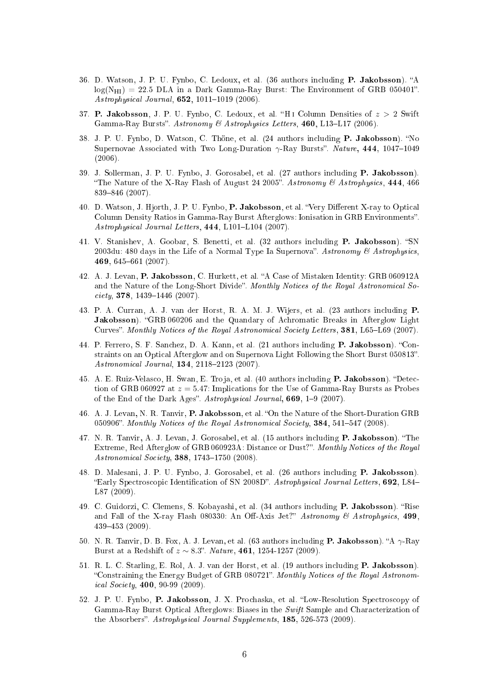- 36. D. Watson, J. P. U. Fynbo, C. Ledoux, et al. (36 authors including P. Jakobsson). "A  $log(N_{\text{HI}}) = 22.5 \text{ DLA}$  in a Dark Gamma-Ray Burst: The Environment of GRB 050401". Astrophysical Journal,  $652$ ,  $1011-1019$  (2006).
- 37. P. Jakobsson, J. P. U. Fynbo, C. Ledoux, et al. "H<sub>1</sub> Column Densities of  $z > 2$  Swift Gamma-Ray Bursts". Astronomy & Astrophysics Letters, 460, L13-L17 (2006).
- 38. J. P. U. Fynbo, D. Watson, C. Thöne, et al. (24 authors including P. Jakobsson). "No Supernovae Associated with Two Long-Duration  $\gamma$ -Ray Bursts". Nature, 444, 1047–1049 (2006).
- 39. J. Sollerman, J. P. U. Fynbo, J. Gorosabel, et al. (27 authors in
luding P. Jakobsson). "The Nature of the X-Ray Flash of August 24 2005". Astronomy  $\mathcal{B}$  Astrophysics, 444, 466 839-846 (2007).
- 40. D. Watson, J. Hjorth, J. P. U. Fynbo, P. Jakobsson, et al. "Very Different X-ray to Optical Column Density Ratios in Gamma-Ray Burst Afterglows: Ionisation in GRB Environments". Astrophysical Journal Letters, 444, L101-L104 (2007).
- 41. V. Stanishev, A. Goobar, S. Benetti, et al. (32 authors including **P. Jakobsson**). "SN 2003du: 480 days in the Life of a Normal Type Ia Supernova". Astronomy & Astrophysics, 469, 645661 (2007).
- 42. A. J. Levan, P. Jakobsson, C. Hurkett, et al. "A Case of Mistaken Identity: GRB 060912A and the Nature of the Long-Short Divide". Monthly Notices of the Royal Astronomical So $ciety, 378, 1439–1446 (2007).$
- 43. P. A. Curran, A. J. van der Horst, R. A. M. J. Wijers, et al. (23 authors in
luding P. Jakobsson). "GRB 060206 and the Quandary of Achromatic Breaks in Afterglow Light Curves". Monthly Notices of the Royal Astronomical Society Letters, 381, L65-L69 (2007).
- 44. P. Ferrero, S. F. Sanchez, D. A. Kann, et al. (21 authors including P. Jakobsson). "Constraints on an Optical Afterglow and on Supernova Light Following the Short Burst 050813". Astronomical Journal, 134, 2118-2123 (2007).
- 45. A. E. Ruiz-Velasco, H. Swan, E. Troja, et al. (40 authors including **P. Jakobsson**). "Detection of GRB 060927 at  $z = 5.47$ : Implications for the Use of Gamma-Ray Bursts as Probes of the End of the Dark Ages". Astrophysical Journal,  $669$ ,  $1-9$  (2007).
- 46. A. J. Levan, N. R. Tanvir, P. Jakobsson, et al. "On the Nature of the Short-Duration GRB 050906". Monthly Notices of the Royal Astronomical Society, 384, 541-547 (2008).
- 47. N. R. Tanvir, A. J. Levan, J. Gorosabel, et al. (15 authors including **P. Jakobsson**). "The Extreme, Red Afterglow of GRB 060923A: Distance or Dust?". Monthly Notices of the Royal Astronomical Society, 388, 1743-1750 (2008).
- 48. D. Malesani, J. P. U. Fynbo, J. Gorosabel, et al. (26 authors in
luding P. Jakobsson). "Early Spectroscopic Identification of SN 2008D". Astrophysical Journal Letters, 692, L84-L87 (2009).
- 49. C. Guidorzi, C. Clemens, S. Kobayashi, et al. (34 authors including P. Jakobsson). "Rise and Fall of the X-ray Flash 080330: An Off-Axis Jet?" Astronomy & Astrophysics, 499, 439453 (2009).
- 50. N. R. Tanvir, D. B. Fox, A. J. Levan, et al. (63 authors including **P. Jakobsson**). "A  $\gamma$ -Ray Burst at a Redshift of  $z \sim 8.3$ ". *Nature*, 461, 1254-1257 (2009).
- 51. R. L. C. Starling, E. Rol, A. J. van der Horst, et al. (19 authors in
luding P. Jakobsson). "Constraining the Energy Budget of GRB 080721". Monthly Notices of the Royal Astronomical Society, **400**, 90-99 (2009).
- 52. J. P. U. Fynbo, P. Jakobsson, J. X. Prochaska, et al. "Low-Resolution Spectroscopy of Gamma-Ray Burst Optical Afterglows: Biases in the Swift Sample and Characterization of the Absorbers". Astrophysical Journal Supplements, 185, 526-573 (2009).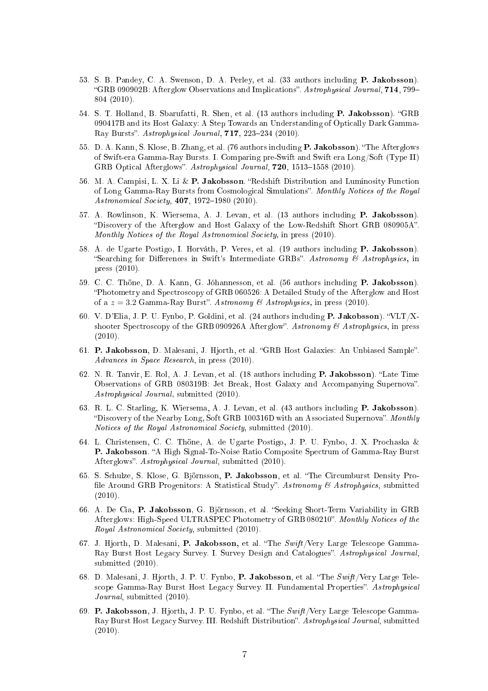- 53. S. B. Pandey, C. A. Swenson, D. A. Perley, et al. (33 authors in
luding P. Jakobsson). "GRB 090902B: Afterglow Observations and Implications". Astrophysical Journal, 714, 799-804 (2010).
- 54. S. T. Holland, B. Sbarufatti, R. Shen, et al. (13 authors including P. Jakobsson). "GRB 090417B and its Host Galaxy: A Step Towards an Understanding of Opti
ally Dark Gamma-Ray Bursts". Astrophysical Journal, 717, 223-234 (2010).
- 55. D. A. Kann, S. Klose, B. Zhang, et al. (76 authors including **P. Jakobsson**). "The Afterglows of Swift-era Gamma-Ray Bursts. I. Comparing pre-Swift and Swift era Long/Soft (Type II) GRB Optical Afterglows". Astrophysical Journal, 720, 1513-1558 (2010).
- 56. M. A. Campisi, L. X. Li & P. Jakobsson. "Redshift Distribution and Luminosity Function of Long Gamma-Ray Bursts from Cosmological Simulations". Monthly Notices of the Royal Astronomical Society, 407, 1972-1980 (2010).
- 57. A. Rowlinson, K. Wiersema, A. J. Levan, et al. (13 authors in
luding P. Jakobsson). "Discovery of the Afterglow and Host Galaxy of the Low-Redshift Short GRB 080905A". Monthly Notices of the Royal Astronomical Society, in press (2010).
- 58. A. de Ugarte Postigo, I. Horváth, P. Veres, et al. (19 authors including P. Jakobsson). "Searching for Differences in Swift's Intermediate GRBs". Astronomy & Astrophysics, in press (2010).
- 59. C. C. Thöne, D. A. Kann, G. Jóhannesson, et al. (56 authors in
luding P. Jakobsson). Photometry and Spe
tros
opy of GRB 060526: A Detailed Study of the Afterglow and Host of a  $z = 3.2$  Gamma-Ray Burst". Astronomy & Astrophysics, in press (2010).
- 60. V. D'Elia, J. P. U. Fynbo, P. Goldini, et al. (24 authors including P. Jakobsson). "VLT/Xshooter Spectroscopy of the GRB 090926A Afterglow". Astronomy & Astrophysics, in press (2010).
- 61. P. Jakobsson, D. Malesani, J. Hjorth, et al. "GRB Host Galaxies: An Unbiased Sample". Advan
es in Spa
e Resear
h, in press (2010).
- 62. N. R. Tanvir, E. Rol, A. J. Levan, et al. (18 authors including **P. Jakobsson**). "Late Time Observations of GRB 080319B: Jet Break, Host Galaxy and Accompanying Supernova". Astrophysi
al Journal, submitted (2010).
- 63. R. L. C. Starling, K. Wiersema, A. J. Levan, et al. (43 authors in
luding P. Jakobsson). "Discovery of the Nearby Long, Soft GRB 100316D with an Associated Supernova". Monthly Notices of the Royal Astronomical Society, submitted (2010).
- 64. L. Christensen, C. C. Thöne, A. de Ugarte Postigo, J. P. U. Fynbo, J. X. Pro
haska & P. Jakobsson. "A High Signal-To-Noise Ratio Composite Spectrum of Gamma-Ray Burst Afterglows". Astrophysical Journal, submitted (2010).
- 65. S. S
hulze, S. Klose, G. Björnsson, P. Jakobsson, et al. The Cir
umburst Density Pro file Around GRB Progenitors: A Statistical Study". Astronomy & Astrophysics, submitted (2010).
- 66. A. De Cia, P. Jakobsson, G. Björnsson, et al. "Seeking Short-Term Variability in GRB Afterglows: High-Speed ULTRASPEC Photometry of GRB 080210". Monthly Notices of the Royal Astronomical Society, submitted (2010).
- 67. J. Hiorth, D. Malesani, P. Jakobsson, et al. "The Swift/Very Large Telescope Gamma-Ray Burst Host Legacy Survey. I. Survey Design and Catalogues". Astrophysical Journal. submitted (2010).
- 68. D. Malesani, J. Hjorth, J. P. U. Fynbo, P. Jakobsson, et al. The Swift /Very Large Telescope Gamma-Ray Burst Host Legacy Survey. II. Fundamental Properties". Astrophysical Journal, submitted (2010).
- 69. P. Jakobsson, J. Hjorth, J. P. U. Fynbo, et al. The Swift /Very Large Teles
ope Gamma-Ray Burst Host Legacy Survey. III. Redshift Distribution". Astrophysical Journal, submitted (2010).